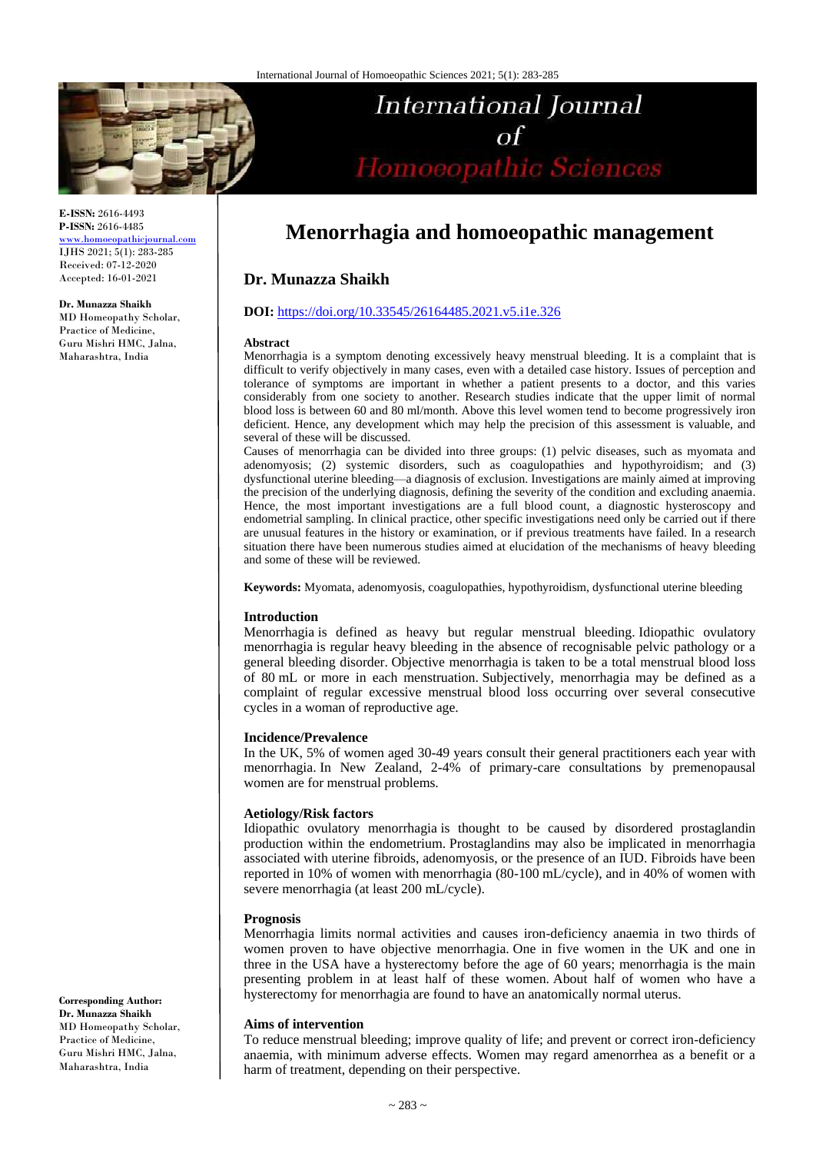

**E-ISSN:** 2616-4493 **P-ISSN:** 2616-4485 [www.homoeopathicjournal.com](file://Server/test/homoeopathicjournal/issue/vol%204/issue%201/www.homoeopathicjournal.com)

IJHS 2021; 5(1): 283-285 Received: 07-12-2020 Accepted: 16-01-2021

**Dr. Munazza Shaikh**

MD Homeopathy Scholar, Practice of Medicine, Guru Mishri HMC, Jalna, Maharashtra, India

# **International Journal**  $\sigma$ f of<br>Homoeopathic Sciences

# **Menorrhagia and homoeopathic management**

# **Dr. Munazza Shaikh**

### **DOI:** <https://doi.org/10.33545/26164485.2021.v5.i1e.326>

#### **Abstract**

Menorrhagia is a symptom denoting excessively heavy menstrual bleeding. It is a complaint that is difficult to verify objectively in many cases, even with a detailed case history. Issues of perception and tolerance of symptoms are important in whether a patient presents to a doctor, and this varies considerably from one society to another. Research studies indicate that the upper limit of normal blood loss is between 60 and 80 ml/month. Above this level women tend to become progressively iron deficient. Hence, any development which may help the precision of this assessment is valuable, and several of these will be discussed.

Causes of menorrhagia can be divided into three groups: (1) pelvic diseases, such as myomata and adenomyosis; (2) systemic disorders, such as coagulopathies and hypothyroidism; and (3) dysfunctional uterine bleeding—a diagnosis of exclusion. Investigations are mainly aimed at improving the precision of the underlying diagnosis, defining the severity of the condition and excluding anaemia. Hence, the most important investigations are a full blood count, a diagnostic hysteroscopy and endometrial sampling. In clinical practice, other specific investigations need only be carried out if there are unusual features in the history or examination, or if previous treatments have failed. In a research situation there have been numerous studies aimed at elucidation of the mechanisms of heavy bleeding and some of these will be reviewed.

**Keywords:** Myomata, adenomyosis, coagulopathies, hypothyroidism, dysfunctional uterine bleeding

#### **Introduction**

Menorrhagia is defined as heavy but regular menstrual bleeding. Idiopathic ovulatory menorrhagia is regular heavy bleeding in the absence of recognisable pelvic pathology or a general bleeding disorder. Objective menorrhagia is taken to be a total menstrual blood loss of 80 mL or more in each menstruation. Subjectively, menorrhagia may be defined as a complaint of regular excessive menstrual blood loss occurring over several consecutive cycles in a woman of reproductive age.

#### **Incidence/Prevalence**

In the UK, 5% of women aged 30-49 years consult their general practitioners each year with menorrhagia. In New Zealand, 2-4% of primary-care consultations by premenopausal women are for menstrual problems.

#### **Aetiology/Risk factors**

Idiopathic ovulatory menorrhagia is thought to be caused by disordered prostaglandin production within the endometrium. Prostaglandins may also be implicated in menorrhagia associated with uterine fibroids, adenomyosis, or the presence of an IUD. Fibroids have been reported in 10% of women with menorrhagia (80-100 mL/cycle), and in 40% of women with severe menorrhagia (at least 200 mL/cycle).

#### **Prognosis**

Menorrhagia limits normal activities and causes iron-deficiency anaemia in two thirds of women proven to have objective menorrhagia. One in five women in the UK and one in three in the USA have a hysterectomy before the age of 60 years; menorrhagia is the main presenting problem in at least half of these women. About half of women who have a hysterectomy for menorrhagia are found to have an anatomically normal uterus.

#### **Aims of intervention**

To reduce menstrual bleeding; improve quality of life; and prevent or correct iron-deficiency anaemia, with minimum adverse effects. Women may regard amenorrhea as a benefit or a harm of treatment, depending on their perspective.

**Corresponding Author: Dr. Munazza Shaikh** MD Homeopathy Scholar, Practice of Medicine, Guru Mishri HMC, Jalna, Maharashtra, India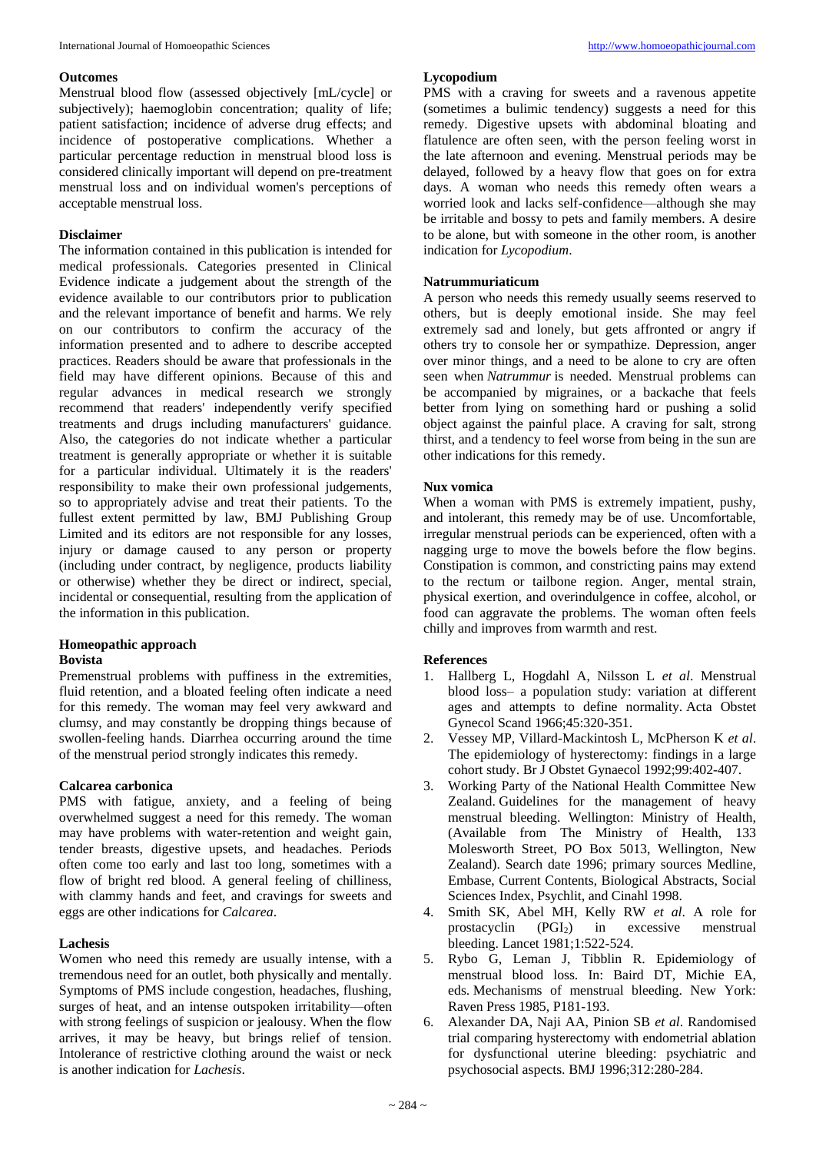#### **Outcomes**

Menstrual blood flow (assessed objectively [mL/cycle] or subjectively); haemoglobin concentration; quality of life; patient satisfaction; incidence of adverse drug effects; and incidence of postoperative complications. Whether a particular percentage reduction in menstrual blood loss is considered clinically important will depend on pre-treatment menstrual loss and on individual women's perceptions of acceptable menstrual loss.

# **Disclaimer**

The information contained in this publication is intended for medical professionals. Categories presented in Clinical Evidence indicate a judgement about the strength of the evidence available to our contributors prior to publication and the relevant importance of benefit and harms. We rely on our contributors to confirm the accuracy of the information presented and to adhere to describe accepted practices. Readers should be aware that professionals in the field may have different opinions. Because of this and regular advances in medical research we strongly recommend that readers' independently verify specified treatments and drugs including manufacturers' guidance. Also, the categories do not indicate whether a particular treatment is generally appropriate or whether it is suitable for a particular individual. Ultimately it is the readers' responsibility to make their own professional judgements, so to appropriately advise and treat their patients. To the fullest extent permitted by law, BMJ Publishing Group Limited and its editors are not responsible for any losses, injury or damage caused to any person or property (including under contract, by negligence, products liability or otherwise) whether they be direct or indirect, special, incidental or consequential, resulting from the application of the information in this publication.

#### **Homeopathic approach Bovista**

Premenstrual problems with puffiness in the extremities, fluid retention, and a bloated feeling often indicate a need for this remedy. The woman may feel very awkward and clumsy, and may constantly be dropping things because of swollen-feeling hands. Diarrhea occurring around the time of the menstrual period strongly indicates this remedy.

### **Calcarea carbonica**

PMS with fatigue, anxiety, and a feeling of being overwhelmed suggest a need for this remedy. The woman may have problems with water-retention and weight gain, tender breasts, digestive upsets, and headaches. Periods often come too early and last too long, sometimes with a flow of bright red blood. A general feeling of chilliness, with clammy hands and feet, and cravings for sweets and eggs are other indications for *Calcarea*.

### **Lachesis**

Women who need this remedy are usually intense, with a tremendous need for an outlet, both physically and mentally. Symptoms of PMS include congestion, headaches, flushing, surges of heat, and an intense outspoken irritability—often with strong feelings of suspicion or jealousy. When the flow arrives, it may be heavy, but brings relief of tension. Intolerance of restrictive clothing around the waist or neck is another indication for *Lachesis*.

### **Lycopodium**

PMS with a craving for sweets and a ravenous appetite (sometimes a bulimic tendency) suggests a need for this remedy. Digestive upsets with abdominal bloating and flatulence are often seen, with the person feeling worst in the late afternoon and evening. Menstrual periods may be delayed, followed by a heavy flow that goes on for extra days. A woman who needs this remedy often wears a worried look and lacks self-confidence—although she may be irritable and bossy to pets and family members. A desire to be alone, but with someone in the other room, is another indication for *Lycopodium*.

# **Natrummuriaticum**

A person who needs this remedy usually seems reserved to others, but is deeply emotional inside. She may feel extremely sad and lonely, but gets affronted or angry if others try to console her or sympathize. Depression, anger over minor things, and a need to be alone to cry are often seen when *Natrummur* is needed. Menstrual problems can be accompanied by migraines, or a backache that feels better from lying on something hard or pushing a solid object against the painful place. A craving for salt, strong thirst, and a tendency to feel worse from being in the sun are other indications for this remedy.

# **Nux vomica**

When a woman with PMS is extremely impatient, pushy, and intolerant, this remedy may be of use. Uncomfortable, irregular menstrual periods can be experienced, often with a nagging urge to move the bowels before the flow begins. Constipation is common, and constricting pains may extend to the rectum or tailbone region. Anger, mental strain, physical exertion, and overindulgence in coffee, alcohol, or food can aggravate the problems. The woman often feels chilly and improves from warmth and rest.

### **References**

- 1. Hallberg L, Hogdahl A, Nilsson L *et al*. Menstrual blood loss– a population study: variation at different ages and attempts to define normality. Acta Obstet Gynecol Scand 1966;45:320-351.
- 2. Vessey MP, Villard-Mackintosh L, McPherson K *et al*. The epidemiology of hysterectomy: findings in a large cohort study. Br J Obstet Gynaecol 1992;99:402-407.
- 3. Working Party of the National Health Committee New Zealand. Guidelines for the management of heavy menstrual bleeding. Wellington: Ministry of Health, (Available from The Ministry of Health, 133 Molesworth Street, PO Box 5013, Wellington, New Zealand). Search date 1996; primary sources Medline, Embase, Current Contents, Biological Abstracts, Social Sciences Index, Psychlit, and Cinahl 1998.
- 4. Smith SK, Abel MH, Kelly RW *et al*. A role for prostacyclin (PGI2) in excessive menstrual bleeding. Lancet 1981;1:522-524.
- 5. Rybo G, Leman J, Tibblin R. Epidemiology of menstrual blood loss. In: Baird DT, Michie EA, eds. Mechanisms of menstrual bleeding. New York: Raven Press 1985, P181-193.
- 6. Alexander DA, Naji AA, Pinion SB *et al*. Randomised trial comparing hysterectomy with endometrial ablation for dysfunctional uterine bleeding: psychiatric and psychosocial aspects. BMJ 1996;312:280-284.